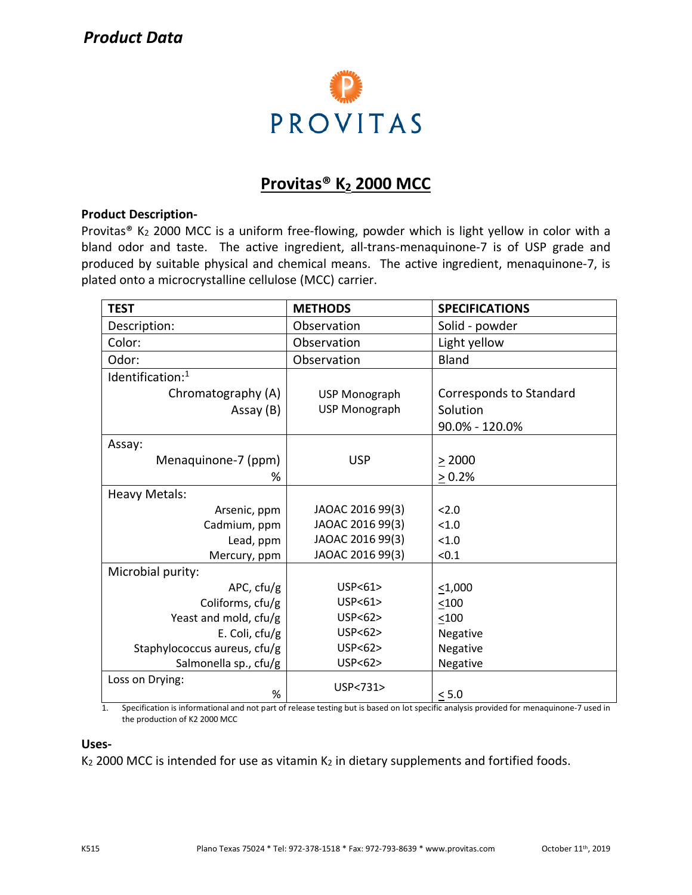# *Product Data*



# **Provitas® K<sup>2</sup> 2000 MCC**

#### **Product Description-**

Provitas<sup>®</sup> K<sub>2</sub> 2000 MCC is a uniform free-flowing, powder which is light yellow in color with a bland odor and taste. The active ingredient, all-trans-menaquinone-7 is of USP grade and produced by suitable physical and chemical means. The active ingredient, menaquinone-7, is plated onto a microcrystalline cellulose (MCC) carrier.

| <b>TEST</b>                  | <b>METHODS</b>   | <b>SPECIFICATIONS</b>   |  |
|------------------------------|------------------|-------------------------|--|
| Description:                 | Observation      | Solid - powder          |  |
| Color:                       | Observation      | Light yellow            |  |
| Odor:                        | Observation      | <b>Bland</b>            |  |
| Identification: <sup>1</sup> |                  |                         |  |
| Chromatography (A)           | USP Monograph    | Corresponds to Standard |  |
| Assay (B)                    | USP Monograph    | Solution                |  |
|                              |                  | 90.0% - 120.0%          |  |
| Assay:                       |                  |                         |  |
| Menaquinone-7 (ppm)          | <b>USP</b>       | > 2000                  |  |
| ℅                            |                  | $\geq 0.2\%$            |  |
| <b>Heavy Metals:</b>         |                  |                         |  |
| Arsenic, ppm                 | JAOAC 2016 99(3) | < 2.0                   |  |
| Cadmium, ppm                 | JAOAC 2016 99(3) | < 1.0                   |  |
| Lead, ppm                    | JAOAC 2016 99(3) | < 1.0                   |  |
| Mercury, ppm                 | JAOAC 2016 99(3) | < 0.1                   |  |
| Microbial purity:            |                  |                         |  |
| APC, cfu/g                   | USP < 61         | $<$ 1,000               |  |
| Coliforms, cfu/g             | USP<61>          | < 100                   |  |
| Yeast and mold, cfu/g        | USP<62>          | < 100                   |  |
| E. Coli, cfu/g               | USP < 62         | Negative                |  |
| Staphylococcus aureus, cfu/g | USP<62>          | Negative                |  |
| Salmonella sp., cfu/g        | USP<62>          | Negative                |  |
| Loss on Drying:              | USP<731>         |                         |  |
| %                            |                  | < 5.0                   |  |

1. Specification is informational and not part of release testing but is based on lot specific analysis provided for menaquinone-7 used in the production of K2 2000 MCC

#### **Uses-**

 $K<sub>2</sub>$  2000 MCC is intended for use as vitamin  $K<sub>2</sub>$  in dietary supplements and fortified foods.